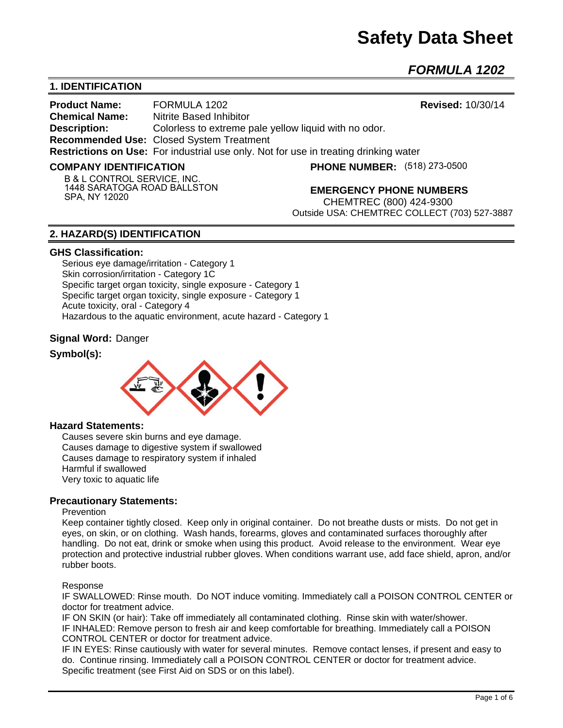# **Safety Data Sheet**

*FORMULA 1202* 

# **1. IDENTIFICATION**

**Product Name:** FORMULA 1202 **Revised:** 10/30/14 **Chemical Name:** Nitrite Based Inhibitor **Description:** Colorless to extreme pale yellow liquid with no odor. **Recommended Use:** Closed System Treatment **Restrictions on Use:** For industrial use only. Not for use in treating drinking water

## **COMPANY IDENTIFICATION**

**(518) 273-0500**

**B & L CONTROL SERVICE, INC. 1448 SARATOGA ROAD BALLSTON SPA, NY 12020**

**EMERGENCY PHONE NUMBERS**

CHEMTREC (800) 424-9300 Outside USA: CHEMTREC COLLECT (703) 527-3887

## **2. HAZARD(S) IDENTIFICATION**

## **GHS Classification:**

Serious eye damage/irritation - Category 1 Skin corrosion/irritation - Category 1C Specific target organ toxicity, single exposure - Category 1 Specific target organ toxicity, single exposure - Category 1 Acute toxicity, oral - Category 4 Hazardous to the aquatic environment, acute hazard - Category 1

## **Signal Word:** Danger

## **Symbol(s):**



## **Hazard Statements:**

Causes severe skin burns and eye damage. Causes damage to digestive system if swallowed Causes damage to respiratory system if inhaled Harmful if swallowed Very toxic to aquatic life

## **Precautionary Statements:**

#### **Prevention**

Keep container tightly closed. Keep only in original container. Do not breathe dusts or mists. Do not get in eyes, on skin, or on clothing. Wash hands, forearms, gloves and contaminated surfaces thoroughly after handling. Do not eat, drink or smoke when using this product. Avoid release to the environment. Wear eye protection and protective industrial rubber gloves. When conditions warrant use, add face shield, apron, and/or rubber boots.

#### Response

IF SWALLOWED: Rinse mouth. Do NOT induce vomiting. Immediately call a POISON CONTROL CENTER or doctor for treatment advice.

IF ON SKIN (or hair): Take off immediately all contaminated clothing. Rinse skin with water/shower. IF INHALED: Remove person to fresh air and keep comfortable for breathing. Immediately call a POISON CONTROL CENTER or doctor for treatment advice.

IF IN EYES: Rinse cautiously with water for several minutes. Remove contact lenses, if present and easy to do. Continue rinsing. Immediately call a POISON CONTROL CENTER or doctor for treatment advice. Specific treatment (see First Aid on SDS or on this label).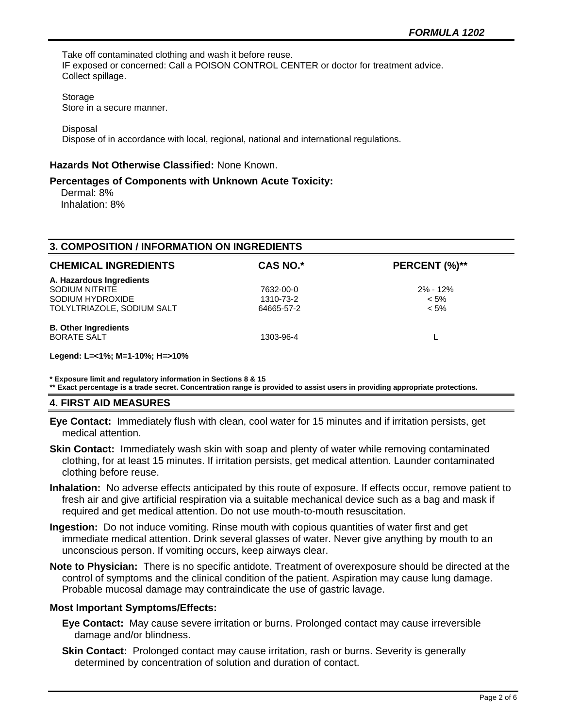Take off contaminated clothing and wash it before reuse. IF exposed or concerned: Call a POISON CONTROL CENTER or doctor for treatment advice. Collect spillage.

Storage

Store in a secure manner.

**Disposal** 

Dispose of in accordance with local, regional, national and international regulations.

## **Hazards Not Otherwise Classified:** None Known.

## **Percentages of Components with Unknown Acute Toxicity:**

 Dermal: 8% Inhalation: 8%

| <b>3. COMPOSITION / INFORMATION ON INGREDIENTS</b> |                 |               |  |  |
|----------------------------------------------------|-----------------|---------------|--|--|
| <b>CHEMICAL INGREDIENTS</b>                        | <b>CAS NO.*</b> | PERCENT (%)** |  |  |
| A. Hazardous Ingredients                           |                 |               |  |  |
| <b>SODIUM NITRITE</b>                              | 7632-00-0       | $2\% - 12\%$  |  |  |
| SODIUM HYDROXIDE                                   | 1310-73-2       | $< 5\%$       |  |  |
| TOLYLTRIAZOLE, SODIUM SALT                         | 64665-57-2      | $< 5\%$       |  |  |
| <b>B. Other Ingredients</b>                        |                 |               |  |  |
| <b>BORATE SALT</b>                                 | 1303-96-4       |               |  |  |
|                                                    |                 |               |  |  |

**Legend: L=<1%; M=1-10%; H=>10%**

**\* Exposure limit and regulatory information in Sections 8 & 15**

**\*\* Exact percentage is a trade secret. Concentration range is provided to assist users in providing appropriate protections.**

## **4. FIRST AID MEASURES**

**Eye Contact:** Immediately flush with clean, cool water for 15 minutes and if irritation persists, get medical attention.

- **Skin Contact:** Immediately wash skin with soap and plenty of water while removing contaminated clothing, for at least 15 minutes. If irritation persists, get medical attention. Launder contaminated clothing before reuse.
- **Inhalation:** No adverse effects anticipated by this route of exposure. If effects occur, remove patient to fresh air and give artificial respiration via a suitable mechanical device such as a bag and mask if required and get medical attention. Do not use mouth-to-mouth resuscitation.
- **Ingestion:** Do not induce vomiting. Rinse mouth with copious quantities of water first and get immediate medical attention. Drink several glasses of water. Never give anything by mouth to an unconscious person. If vomiting occurs, keep airways clear.
- **Note to Physician:** There is no specific antidote. Treatment of overexposure should be directed at the control of symptoms and the clinical condition of the patient. Aspiration may cause lung damage. Probable mucosal damage may contraindicate the use of gastric lavage.

## **Most Important Symptoms/Effects:**

- **Eye Contact:** May cause severe irritation or burns. Prolonged contact may cause irreversible damage and/or blindness.
- **Skin Contact:** Prolonged contact may cause irritation, rash or burns. Severity is generally determined by concentration of solution and duration of contact.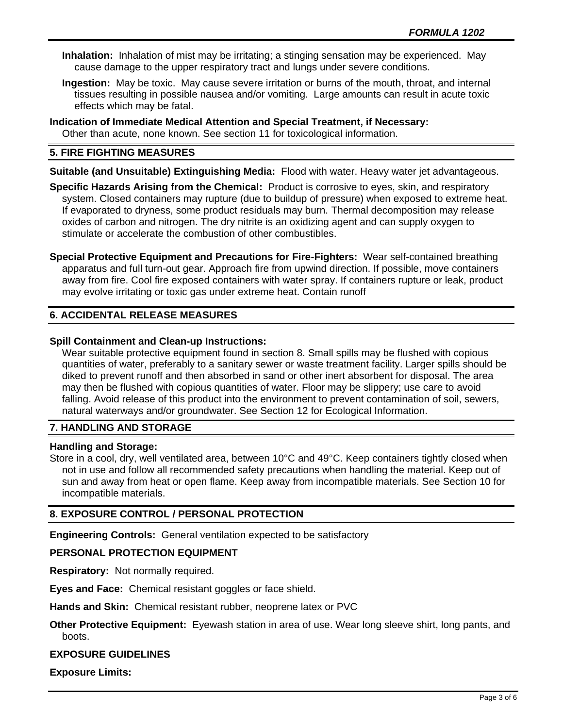- **Inhalation:** Inhalation of mist may be irritating; a stinging sensation may be experienced. May cause damage to the upper respiratory tract and lungs under severe conditions.
- **Ingestion:** May be toxic. May cause severe irritation or burns of the mouth, throat, and internal tissues resulting in possible nausea and/or vomiting. Large amounts can result in acute toxic effects which may be fatal.
- **Indication of Immediate Medical Attention and Special Treatment, if Necessary:** Other than acute, none known. See section 11 for toxicological information.

# **5. FIRE FIGHTING MEASURES**

**Suitable (and Unsuitable) Extinguishing Media:** Flood with water. Heavy water jet advantageous.

**Specific Hazards Arising from the Chemical:** Product is corrosive to eyes, skin, and respiratory system. Closed containers may rupture (due to buildup of pressure) when exposed to extreme heat. If evaporated to dryness, some product residuals may burn. Thermal decomposition may release oxides of carbon and nitrogen. The dry nitrite is an oxidizing agent and can supply oxygen to stimulate or accelerate the combustion of other combustibles.

**Special Protective Equipment and Precautions for Fire-Fighters:** Wear self-contained breathing apparatus and full turn-out gear. Approach fire from upwind direction. If possible, move containers away from fire. Cool fire exposed containers with water spray. If containers rupture or leak, product may evolve irritating or toxic gas under extreme heat. Contain runoff

# **6. ACCIDENTAL RELEASE MEASURES**

## **Spill Containment and Clean-up Instructions:**

Wear suitable protective equipment found in section 8. Small spills may be flushed with copious quantities of water, preferably to a sanitary sewer or waste treatment facility. Larger spills should be diked to prevent runoff and then absorbed in sand or other inert absorbent for disposal. The area may then be flushed with copious quantities of water. Floor may be slippery; use care to avoid falling. Avoid release of this product into the environment to prevent contamination of soil, sewers, natural waterways and/or groundwater. See Section 12 for Ecological Information.

# **7. HANDLING AND STORAGE**

## **Handling and Storage:**

Store in a cool, dry, well ventilated area, between 10°C and 49°C. Keep containers tightly closed when not in use and follow all recommended safety precautions when handling the material. Keep out of sun and away from heat or open flame. Keep away from incompatible materials. See Section 10 for incompatible materials.

# **8. EXPOSURE CONTROL / PERSONAL PROTECTION**

**Engineering Controls:** General ventilation expected to be satisfactory

## **PERSONAL PROTECTION EQUIPMENT**

**Respiratory:** Not normally required.

**Eyes and Face:** Chemical resistant goggles or face shield.

**Hands and Skin:** Chemical resistant rubber, neoprene latex or PVC

**Other Protective Equipment:** Eyewash station in area of use. Wear long sleeve shirt, long pants, and boots.

## **EXPOSURE GUIDELINES**

**Exposure Limits:**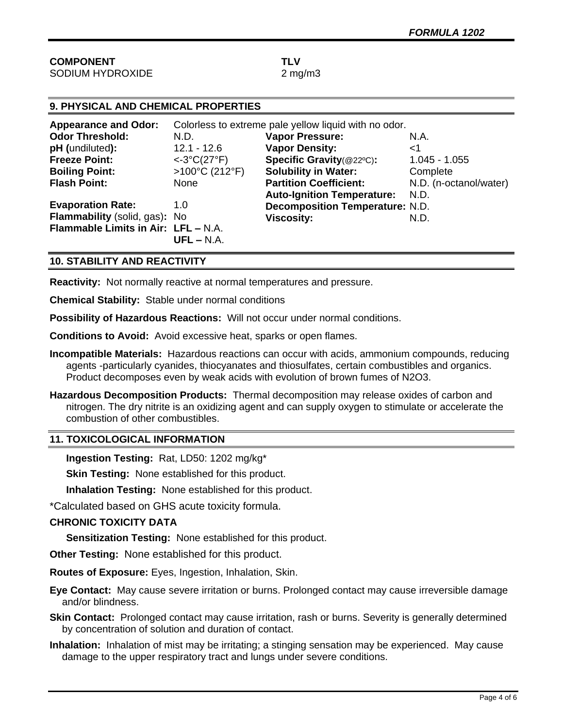| 9. PHYSICAL AND CHEMICAL PROPERTIES  |                                                       |                                        |                        |  |  |
|--------------------------------------|-------------------------------------------------------|----------------------------------------|------------------------|--|--|
| <b>Appearance and Odor:</b>          | Colorless to extreme pale yellow liquid with no odor. |                                        |                        |  |  |
| <b>Odor Threshold:</b>               | N.D.                                                  | <b>Vapor Pressure:</b>                 | N.A.                   |  |  |
| pH (undiluted):                      | $12.1 - 12.6$                                         | <b>Vapor Density:</b>                  | ا>                     |  |  |
| <b>Freeze Point:</b>                 | $<-3°C(27°F)$                                         | Specific Gravity(@22°C):               | $1.045 - 1.055$        |  |  |
| <b>Boiling Point:</b>                | >100°C (212°F)                                        | <b>Solubility in Water:</b>            | Complete               |  |  |
| <b>Flash Point:</b>                  | None                                                  | <b>Partition Coefficient:</b>          | N.D. (n-octanol/water) |  |  |
|                                      |                                                       | <b>Auto-Ignition Temperature:</b>      | N.D.                   |  |  |
| <b>Evaporation Rate:</b>             | 1.0                                                   | <b>Decomposition Temperature: N.D.</b> |                        |  |  |
| <b>Flammability</b> (solid, gas): No |                                                       | <b>Viscosity:</b>                      | N.D.                   |  |  |
| Flammable Limits in Air: LFL - N.A.  |                                                       |                                        |                        |  |  |
|                                      | $UFL - N.A.$                                          |                                        |                        |  |  |

## **10. STABILITY AND REACTIVITY**

**Reactivity:** Not normally reactive at normal temperatures and pressure.

**Chemical Stability:** Stable under normal conditions

**Possibility of Hazardous Reactions:** Will not occur under normal conditions.

**Conditions to Avoid:** Avoid excessive heat, sparks or open flames.

- **Incompatible Materials:** Hazardous reactions can occur with acids, ammonium compounds, reducing agents -particularly cyanides, thiocyanates and thiosulfates, certain combustibles and organics. Product decomposes even by weak acids with evolution of brown fumes of N2O3.
- **Hazardous Decomposition Products:** Thermal decomposition may release oxides of carbon and nitrogen. The dry nitrite is an oxidizing agent and can supply oxygen to stimulate or accelerate the combustion of other combustibles.

## **11. TOXICOLOGICAL INFORMATION**

**Ingestion Testing:** Rat, LD50: 1202 mg/kg\*

**Skin Testing:** None established for this product.

**Inhalation Testing:** None established for this product.

\*Calculated based on GHS acute toxicity formula.

## **CHRONIC TOXICITY DATA**

**Sensitization Testing:** None established for this product.

**Other Testing:** None established for this product.

**Routes of Exposure:** Eyes, Ingestion, Inhalation, Skin.

**Eye Contact:** May cause severe irritation or burns. Prolonged contact may cause irreversible damage and/or blindness.

**Skin Contact:** Prolonged contact may cause irritation, rash or burns. Severity is generally determined by concentration of solution and duration of contact.

**Inhalation:** Inhalation of mist may be irritating; a stinging sensation may be experienced. May cause damage to the upper respiratory tract and lungs under severe conditions.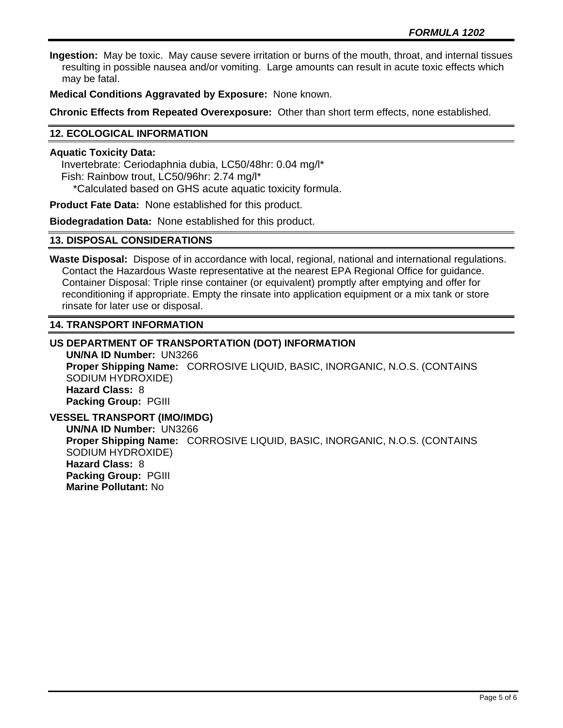**Ingestion:** May be toxic. May cause severe irritation or burns of the mouth, throat, and internal tissues resulting in possible nausea and/or vomiting. Large amounts can result in acute toxic effects which may be fatal.

**Medical Conditions Aggravated by Exposure:** None known.

**Chronic Effects from Repeated Overexposure:** Other than short term effects, none established.

## **12. ECOLOGICAL INFORMATION**

## **Aquatic Toxicity Data:**

 Invertebrate: Ceriodaphnia dubia, LC50/48hr: 0.04 mg/l\* Fish: Rainbow trout, LC50/96hr: 2.74 mg/l\* \*Calculated based on GHS acute aquatic toxicity formula.

**Product Fate Data:** None established for this product.

**Biodegradation Data:** None established for this product.

## **13. DISPOSAL CONSIDERATIONS**

**Waste Disposal:** Dispose of in accordance with local, regional, national and international regulations. Contact the Hazardous Waste representative at the nearest EPA Regional Office for guidance. Container Disposal: Triple rinse container (or equivalent) promptly after emptying and offer for reconditioning if appropriate. Empty the rinsate into application equipment or a mix tank or store rinsate for later use or disposal.

## **14. TRANSPORT INFORMATION**

**US DEPARTMENT OF TRANSPORTATION (DOT) INFORMATION UN/NA ID Number:** UN3266 **Proper Shipping Name:** CORROSIVE LIQUID, BASIC, INORGANIC, N.O.S. (CONTAINS SODIUM HYDROXIDE) **Hazard Class:** 8 **Packing Group:** PGIII **VESSEL TRANSPORT (IMO/IMDG)**

**UN/NA ID Number:** UN3266 **Proper Shipping Name:** CORROSIVE LIQUID, BASIC, INORGANIC, N.O.S. (CONTAINS SODIUM HYDROXIDE) **Hazard Class:** 8 **Packing Group:** PGIII **Marine Pollutant:** No